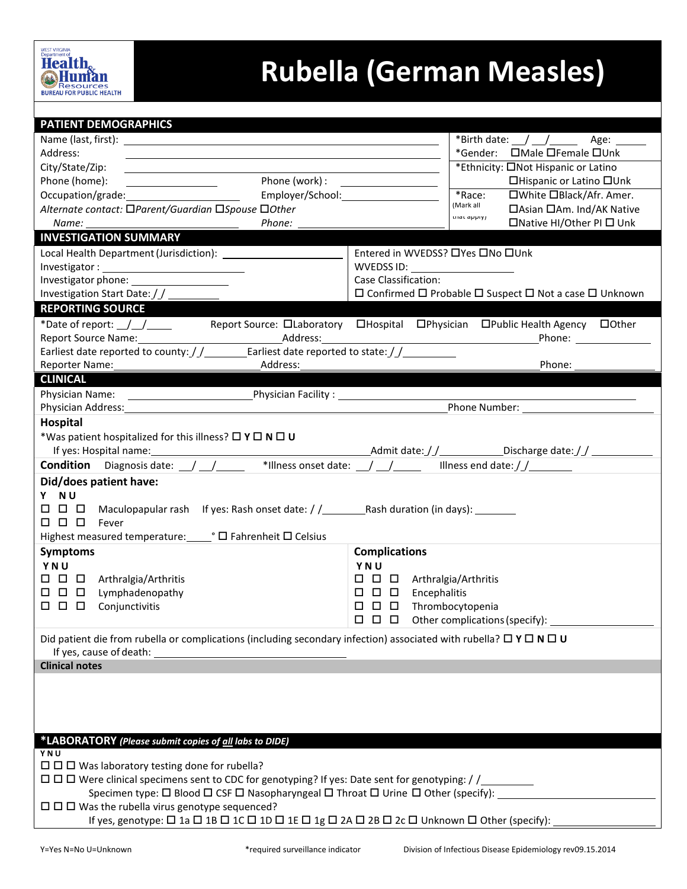

## **Rubella (German Measles)**

| <b>PATIENT DEMOGRAPHICS</b>                                                                                                                                                                                                         |                                                                                                                                                                                                                                |  |  |  |
|-------------------------------------------------------------------------------------------------------------------------------------------------------------------------------------------------------------------------------------|--------------------------------------------------------------------------------------------------------------------------------------------------------------------------------------------------------------------------------|--|--|--|
|                                                                                                                                                                                                                                     | *Birth date: $\angle$ $\angle$ $\angle$ $\angle$ Age: $\angle$                                                                                                                                                                 |  |  |  |
| Address:<br><u> 1980 - An Dùbhlachd ann an Dùbhlachd ann an Dùbhlachd ann an Dùbhlachd ann an Dùbhlachd ann an Dùbhlachd ann </u>                                                                                                   |                                                                                                                                                                                                                                |  |  |  |
| City/State/Zip:                                                                                                                                                                                                                     | *Ethnicity: ONot Hispanic or Latino                                                                                                                                                                                            |  |  |  |
| Phone (home):<br><u> The Communication of the Communication</u>                                                                                                                                                                     | □Hispanic or Latino □Unk                                                                                                                                                                                                       |  |  |  |
| Employer/School: Employer/School:<br>Occupation/grade:                                                                                                                                                                              | *Race:<br>□White □Black/Afr. Amer.                                                                                                                                                                                             |  |  |  |
| Alternate contact: □Parent/Guardian □Spouse □Other                                                                                                                                                                                  | (Mark all<br>□ Asian □ Am. Ind/AK Native<br>triat apply)                                                                                                                                                                       |  |  |  |
| Phone:<br>Name:                                                                                                                                                                                                                     | □Native HI/Other PI □ Unk                                                                                                                                                                                                      |  |  |  |
| <b>INVESTIGATION SUMMARY</b>                                                                                                                                                                                                        |                                                                                                                                                                                                                                |  |  |  |
| Local Health Department (Jurisdiction): \[\essimiliation] \]                                                                                                                                                                        | Entered in WVEDSS? □Yes □No □Unk                                                                                                                                                                                               |  |  |  |
|                                                                                                                                                                                                                                     | WVEDSS ID: ____________________                                                                                                                                                                                                |  |  |  |
|                                                                                                                                                                                                                                     | Case Classification:                                                                                                                                                                                                           |  |  |  |
| Investigation Start Date: / /                                                                                                                                                                                                       | $\Box$ Confirmed $\Box$ Probable $\Box$ Suspect $\Box$ Not a case $\Box$ Unknown                                                                                                                                               |  |  |  |
| <b>REPORTING SOURCE</b>                                                                                                                                                                                                             |                                                                                                                                                                                                                                |  |  |  |
| *Date of report: $\_\_\_\_\_\_\_\_\_\_\_\_\_\$                                                                                                                                                                                      | Report Source: DLaboratory DHospital DPhysician DPublic Health Agency DOther                                                                                                                                                   |  |  |  |
|                                                                                                                                                                                                                                     | Phone: National Phone: National Phone: National Phone: National Phone Phone Phone Phone Phone Phone Phone Phone Phone Phone Phone Phone Phone Phone Phone Phone Phone Phone Phone Phone Phone Phone Phone Phone Phone Phone Ph |  |  |  |
| Earliest date reported to county: $\frac{1}{2}$ Earliest date reported to state: $\frac{1}{2}$                                                                                                                                      |                                                                                                                                                                                                                                |  |  |  |
| Address:<br>Reporter Name:                                                                                                                                                                                                          | Phone:                                                                                                                                                                                                                         |  |  |  |
| <b>CLINICAL</b>                                                                                                                                                                                                                     |                                                                                                                                                                                                                                |  |  |  |
|                                                                                                                                                                                                                                     |                                                                                                                                                                                                                                |  |  |  |
| Physician Address: Management of the Changes of the Changes of the Changes of the Changes of the Changes of the Changes of the Changes of the Changes of the Changes of the Changes of the Changes of the Changes of the Chang      | Phone Number: The Contract of the Contract of the Contract of the Contract of the Contract of the Contract of the Contract of the Contract of the Contract of the Contract of the Contract of the Contract of the Contract of  |  |  |  |
| Hospital                                                                                                                                                                                                                            |                                                                                                                                                                                                                                |  |  |  |
| *Was patient hospitalized for this illness? $\square$ Y $\square$ N $\square$ U                                                                                                                                                     |                                                                                                                                                                                                                                |  |  |  |
|                                                                                                                                                                                                                                     |                                                                                                                                                                                                                                |  |  |  |
| <b>Condition</b> Diagnosis date: \[\stata_{\stata}} \] \[\stata_{\stata} \] \] \[\stata_{\stata} \] \] \[\stata_{\stata} \] \] \[\stata_{\stata} \] \] \[\stata_{\stata} \] \] \[\stata_{\stata} \] \] \[\stata_{\stata} \] \] \[\s |                                                                                                                                                                                                                                |  |  |  |
| Did/does patient have:                                                                                                                                                                                                              |                                                                                                                                                                                                                                |  |  |  |
| Y NU                                                                                                                                                                                                                                |                                                                                                                                                                                                                                |  |  |  |
|                                                                                                                                                                                                                                     |                                                                                                                                                                                                                                |  |  |  |
| $\square$ $\square$ $\square$ Fever                                                                                                                                                                                                 |                                                                                                                                                                                                                                |  |  |  |
| Highest measured temperature: PO Fahrenheit O Celsius                                                                                                                                                                               |                                                                                                                                                                                                                                |  |  |  |
| <b>Symptoms</b>                                                                                                                                                                                                                     | <b>Complications</b>                                                                                                                                                                                                           |  |  |  |
| YNU                                                                                                                                                                                                                                 | YNU                                                                                                                                                                                                                            |  |  |  |
| $\Box$ $\Box$ $\Box$ Arthralgia/Arthritis                                                                                                                                                                                           | $\Box$ $\Box$ $\Box$ Arthralgia/Arthritis                                                                                                                                                                                      |  |  |  |
| 0 D<br>$\Box$<br>Lymphadenopathy                                                                                                                                                                                                    | Encephalitis                                                                                                                                                                                                                   |  |  |  |
| $\Box$<br>$\Box$<br>$\Box$<br>Conjunctivitis                                                                                                                                                                                        | $\Box$ $\Box$ $\Box$<br>Thrombocytopenia                                                                                                                                                                                       |  |  |  |
|                                                                                                                                                                                                                                     | $\Box$ $\Box$ $\Box$<br>Other complications (specify):                                                                                                                                                                         |  |  |  |
|                                                                                                                                                                                                                                     |                                                                                                                                                                                                                                |  |  |  |
| Did patient die from rubella or complications (including secondary infection) associated with rubella? $\Box$ Y $\Box$ N $\Box$ U                                                                                                   |                                                                                                                                                                                                                                |  |  |  |
|                                                                                                                                                                                                                                     |                                                                                                                                                                                                                                |  |  |  |
| <b>Clinical notes</b>                                                                                                                                                                                                               |                                                                                                                                                                                                                                |  |  |  |
|                                                                                                                                                                                                                                     |                                                                                                                                                                                                                                |  |  |  |
|                                                                                                                                                                                                                                     |                                                                                                                                                                                                                                |  |  |  |
|                                                                                                                                                                                                                                     |                                                                                                                                                                                                                                |  |  |  |
|                                                                                                                                                                                                                                     |                                                                                                                                                                                                                                |  |  |  |
| *LABORATORY (Please submit copies of all labs to DIDE)                                                                                                                                                                              |                                                                                                                                                                                                                                |  |  |  |
| YNU                                                                                                                                                                                                                                 |                                                                                                                                                                                                                                |  |  |  |
| $\Box$ $\Box$ Was laboratory testing done for rubella?                                                                                                                                                                              |                                                                                                                                                                                                                                |  |  |  |
| $\Box$ $\Box$ Were clinical specimens sent to CDC for genotyping? If yes: Date sent for genotyping: / /________                                                                                                                     |                                                                                                                                                                                                                                |  |  |  |
| Specimen type: □ Blood □ CSF □ Nasopharyngeal □ Throat □ Urine □ Other (specify): ___                                                                                                                                               |                                                                                                                                                                                                                                |  |  |  |
| $\Box$ $\Box$ Was the rubella virus genotype sequenced?                                                                                                                                                                             |                                                                                                                                                                                                                                |  |  |  |
| If yes, genotype: $\Box$ 1a $\Box$ 1B $\Box$ 1C $\Box$ 1D $\Box$ 1E $\Box$ 1g $\Box$ 2A $\Box$ 2B $\Box$ 2c $\Box$ Unknown $\Box$ Other (specify):                                                                                  |                                                                                                                                                                                                                                |  |  |  |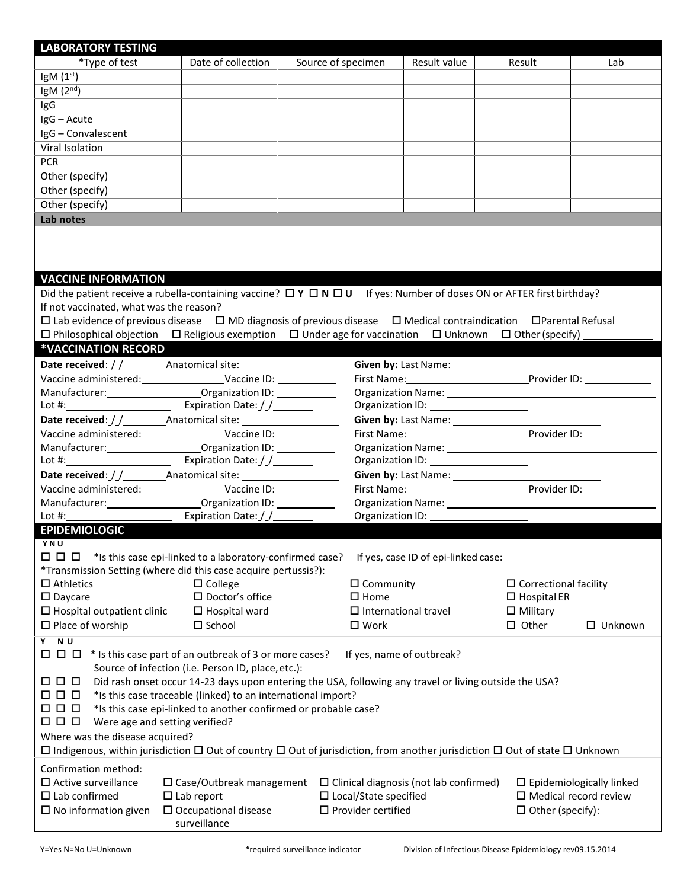| <b>LABORATORY TESTING</b>                                                                                                                                                                                                      |                                                                                                        |                                                                                                                                                                                                                                |              |                                     |                                 |  |
|--------------------------------------------------------------------------------------------------------------------------------------------------------------------------------------------------------------------------------|--------------------------------------------------------------------------------------------------------|--------------------------------------------------------------------------------------------------------------------------------------------------------------------------------------------------------------------------------|--------------|-------------------------------------|---------------------------------|--|
| *Type of test                                                                                                                                                                                                                  | Date of collection                                                                                     | Source of specimen                                                                                                                                                                                                             | Result value | Result                              | Lab                             |  |
| $\text{lgM}(1^{\text{st}})$                                                                                                                                                                                                    |                                                                                                        |                                                                                                                                                                                                                                |              |                                     |                                 |  |
| IgM $(2nd)$                                                                                                                                                                                                                    |                                                                                                        |                                                                                                                                                                                                                                |              |                                     |                                 |  |
| IgG                                                                                                                                                                                                                            |                                                                                                        |                                                                                                                                                                                                                                |              |                                     |                                 |  |
| IgG - Acute                                                                                                                                                                                                                    |                                                                                                        |                                                                                                                                                                                                                                |              |                                     |                                 |  |
| IgG - Convalescent                                                                                                                                                                                                             |                                                                                                        |                                                                                                                                                                                                                                |              |                                     |                                 |  |
| Viral Isolation                                                                                                                                                                                                                |                                                                                                        |                                                                                                                                                                                                                                |              |                                     |                                 |  |
| <b>PCR</b>                                                                                                                                                                                                                     |                                                                                                        |                                                                                                                                                                                                                                |              |                                     |                                 |  |
| Other (specify)                                                                                                                                                                                                                |                                                                                                        |                                                                                                                                                                                                                                |              |                                     |                                 |  |
| Other (specify)                                                                                                                                                                                                                |                                                                                                        |                                                                                                                                                                                                                                |              |                                     |                                 |  |
| Other (specify)                                                                                                                                                                                                                |                                                                                                        |                                                                                                                                                                                                                                |              |                                     |                                 |  |
| Lab notes                                                                                                                                                                                                                      |                                                                                                        |                                                                                                                                                                                                                                |              |                                     |                                 |  |
|                                                                                                                                                                                                                                |                                                                                                        |                                                                                                                                                                                                                                |              |                                     |                                 |  |
|                                                                                                                                                                                                                                |                                                                                                        |                                                                                                                                                                                                                                |              |                                     |                                 |  |
|                                                                                                                                                                                                                                |                                                                                                        |                                                                                                                                                                                                                                |              |                                     |                                 |  |
|                                                                                                                                                                                                                                |                                                                                                        |                                                                                                                                                                                                                                |              |                                     |                                 |  |
| <b>VACCINE INFORMATION</b>                                                                                                                                                                                                     |                                                                                                        |                                                                                                                                                                                                                                |              |                                     |                                 |  |
| Did the patient receive a rubella-containing vaccine? $\Box Y \Box N \Box U$ If yes: Number of doses ON or AFTER first birthday?<br>If not vaccinated, what was the reason?                                                    |                                                                                                        |                                                                                                                                                                                                                                |              |                                     |                                 |  |
| $\Box$ Lab evidence of previous disease $\Box$ MD diagnosis of previous disease $\Box$ Medical contraindication $\Box$ Parental Refusal                                                                                        |                                                                                                        |                                                                                                                                                                                                                                |              |                                     |                                 |  |
| $\Box$ Philosophical objection $\Box$ Religious exemption $\Box$ Under age for vaccination $\Box$ Unknown $\Box$ Other (specify)                                                                                               |                                                                                                        |                                                                                                                                                                                                                                |              |                                     |                                 |  |
| *VACCINATION RECORD                                                                                                                                                                                                            |                                                                                                        |                                                                                                                                                                                                                                |              |                                     |                                 |  |
|                                                                                                                                                                                                                                |                                                                                                        |                                                                                                                                                                                                                                |              |                                     |                                 |  |
| Vaccine administered: Vaccine ID: Vaccine ID:                                                                                                                                                                                  |                                                                                                        |                                                                                                                                                                                                                                |              |                                     |                                 |  |
| Manufacturer: _________________________________Organization ID: ________________                                                                                                                                               |                                                                                                        |                                                                                                                                                                                                                                |              |                                     |                                 |  |
| Lot #: \\cdot \\cdot \\cdot \\cdot \\cdot \\cdot \\cdot \\cdot \\cdot \\cdot \\cdot \\cdot \\cdot \\cdot \\cdot \\cdot \\cdot \\cdot \\cdot \\cdot \\cdot \\cdot \\cdot \\cdot \\cdot \\cdot \\cdot \\cdot \\cdot \\cdot \\cdo |                                                                                                        |                                                                                                                                                                                                                                |              |                                     |                                 |  |
|                                                                                                                                                                                                                                |                                                                                                        |                                                                                                                                                                                                                                |              |                                     |                                 |  |
| First Name: Name: Name Provider ID:                                                                                                                                                                                            |                                                                                                        |                                                                                                                                                                                                                                |              |                                     |                                 |  |
| Manufacturer: __________________________________Organization ID: _______________                                                                                                                                               |                                                                                                        |                                                                                                                                                                                                                                |              |                                     |                                 |  |
| Lot #: Lot = Lot = Lot = Lot = Lot = Lot = Lot = Lot = Lot = Lot = Lot = Lot = Lot = Lot = Lot = Lo                                                                                                                            |                                                                                                        |                                                                                                                                                                                                                                |              |                                     |                                 |  |
|                                                                                                                                                                                                                                |                                                                                                        |                                                                                                                                                                                                                                |              |                                     |                                 |  |
| Vaccine administered: Vaccine ID:                                                                                                                                                                                              |                                                                                                        |                                                                                                                                                                                                                                |              | First Name: Provider ID:            |                                 |  |
|                                                                                                                                                                                                                                |                                                                                                        | Organization Name: The Contract of the Contract of the Contract of the Contract of the Contract of the Contract of the Contract of the Contract of the Contract of the Contract of the Contract of the Contract of the Contrac |              |                                     |                                 |  |
| $Lot \#:$<br>$\overline{\phantom{a}}$                                                                                                                                                                                          | Expiration Date://________                                                                             | Organization ID:                                                                                                                                                                                                               |              |                                     |                                 |  |
| <b>EPIDEMIOLOGIC</b>                                                                                                                                                                                                           |                                                                                                        |                                                                                                                                                                                                                                |              |                                     |                                 |  |
| Y N U                                                                                                                                                                                                                          |                                                                                                        |                                                                                                                                                                                                                                |              |                                     |                                 |  |
|                                                                                                                                                                                                                                |                                                                                                        |                                                                                                                                                                                                                                |              | If yes, case ID of epi-linked case: |                                 |  |
| *Transmission Setting (where did this case acquire pertussis?):                                                                                                                                                                |                                                                                                        |                                                                                                                                                                                                                                |              |                                     |                                 |  |
| $\Box$ Athletics                                                                                                                                                                                                               | $\square$ College                                                                                      | $\Box$ Community                                                                                                                                                                                                               |              | $\Box$ Correctional facility        |                                 |  |
| $\square$ Daycare                                                                                                                                                                                                              | $\square$ Doctor's office                                                                              | $\square$ Home                                                                                                                                                                                                                 |              | $\square$ Hospital ER               |                                 |  |
| $\Box$ Hospital outpatient clinic                                                                                                                                                                                              | $\Box$ Hospital ward                                                                                   | $\Box$ International travel                                                                                                                                                                                                    |              | $\Box$ Military                     |                                 |  |
| $\Box$ Place of worship                                                                                                                                                                                                        | $\square$ School                                                                                       | $\square$ Work                                                                                                                                                                                                                 |              | $\Box$ Other                        | $\Box$ Unknown                  |  |
| Y NU                                                                                                                                                                                                                           |                                                                                                        |                                                                                                                                                                                                                                |              |                                     |                                 |  |
| $\Box$ $\Box$ $\Box$ * Is this case part of an outbreak of 3 or more cases?                                                                                                                                                    |                                                                                                        |                                                                                                                                                                                                                                |              |                                     |                                 |  |
| Source of infection (i.e. Person ID, place, etc.):                                                                                                                                                                             |                                                                                                        |                                                                                                                                                                                                                                |              |                                     |                                 |  |
| $\Box$ $\Box$ $\Box$                                                                                                                                                                                                           | Did rash onset occur 14-23 days upon entering the USA, following any travel or living outside the USA? |                                                                                                                                                                                                                                |              |                                     |                                 |  |
| 000                                                                                                                                                                                                                            | *Is this case traceable (linked) to an international import?                                           |                                                                                                                                                                                                                                |              |                                     |                                 |  |
| 000<br>*Is this case epi-linked to another confirmed or probable case?                                                                                                                                                         |                                                                                                        |                                                                                                                                                                                                                                |              |                                     |                                 |  |
| $\Box$ $\Box$ $\Box$<br>Were age and setting verified?                                                                                                                                                                         |                                                                                                        |                                                                                                                                                                                                                                |              |                                     |                                 |  |
| Where was the disease acquired?                                                                                                                                                                                                |                                                                                                        |                                                                                                                                                                                                                                |              |                                     |                                 |  |
| $\Box$ Indigenous, within jurisdiction $\Box$ Out of country $\Box$ Out of jurisdiction, from another jurisdiction $\Box$ Out of state $\Box$ Unknown                                                                          |                                                                                                        |                                                                                                                                                                                                                                |              |                                     |                                 |  |
| Confirmation method:                                                                                                                                                                                                           |                                                                                                        |                                                                                                                                                                                                                                |              |                                     |                                 |  |
| $\square$ Active surveillance                                                                                                                                                                                                  | $\Box$ Case/Outbreak management $\Box$ Clinical diagnosis (not lab confirmed)                          |                                                                                                                                                                                                                                |              |                                     | $\Box$ Epidemiologically linked |  |
| $\square$ Lab confirmed                                                                                                                                                                                                        | $\square$ Lab report                                                                                   | □ Local/State specified<br>$\square$ Medical record review                                                                                                                                                                     |              |                                     |                                 |  |
| $\square$ Provider certified<br>$\square$ No information given<br>$\square$ Occupational disease<br>$\Box$ Other (specify):                                                                                                    |                                                                                                        |                                                                                                                                                                                                                                |              |                                     |                                 |  |
| surveillance                                                                                                                                                                                                                   |                                                                                                        |                                                                                                                                                                                                                                |              |                                     |                                 |  |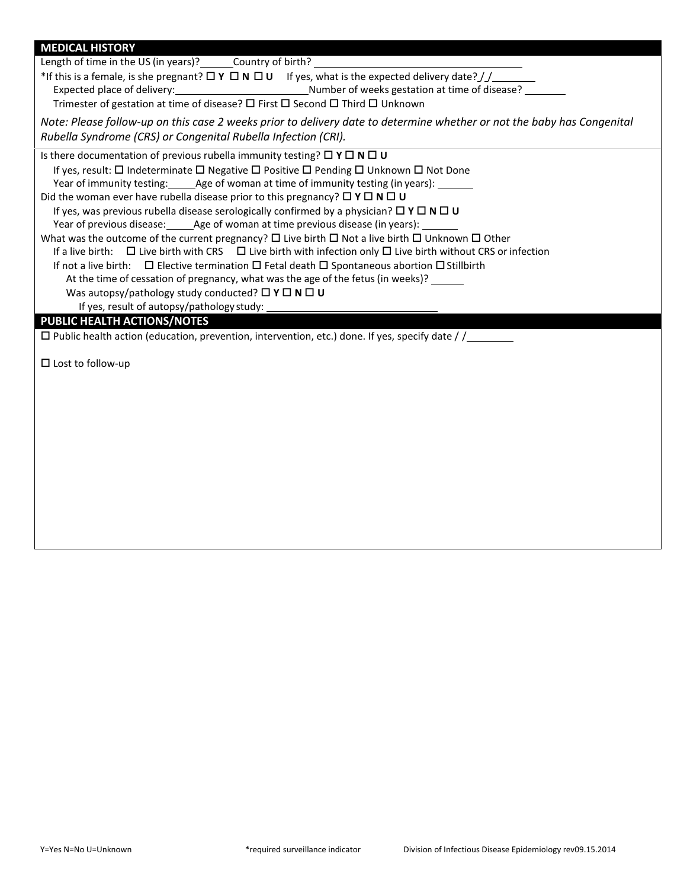| <b>MEDICAL HISTORY</b>                                                                                                                                   |
|----------------------------------------------------------------------------------------------------------------------------------------------------------|
| Length of time in the US (in years)? Country of birth?                                                                                                   |
| *If this is a female, is she pregnant? $\Box$ Y $\Box$ N $\Box$ U If yes, what is the expected delivery date? $//$                                       |
|                                                                                                                                                          |
| Trimester of gestation at time of disease? $\square$ First $\square$ Second $\square$ Third $\square$ Unknown                                            |
| Note: Please follow-up on this case 2 weeks prior to delivery date to determine whether or not the baby has Congenital                                   |
| Rubella Syndrome (CRS) or Congenital Rubella Infection (CRI).                                                                                            |
| Is there documentation of previous rubella immunity testing? $\Box Y \Box N \Box U$                                                                      |
| If yes, result: $\square$ Indeterminate $\square$ Negative $\square$ Positive $\square$ Pending $\square$ Unknown $\square$ Not Done                     |
| Year of immunity testing: Age of woman at time of immunity testing (in years):                                                                           |
| Did the woman ever have rubella disease prior to this pregnancy? $\Box$ Y $\Box$ N $\Box$ U                                                              |
| If yes, was previous rubella disease serologically confirmed by a physician? $\Box Y \Box N \Box U$                                                      |
| Year of previous disease: ______ Age of woman at time previous disease (in years): _                                                                     |
| What was the outcome of the current pregnancy? $\Box$ Live birth $\Box$ Not a live birth $\Box$ Unknown $\Box$ Other                                     |
| If a live birth: $\Box$ Live birth with CRS $\Box$ Live birth with infection only $\Box$ Live birth without CRS or infection                             |
| If not a live birth: $\Box$ Elective termination $\Box$ Fetal death $\Box$ Spontaneous abortion $\Box$ Stillbirth                                        |
| At the time of cessation of pregnancy, what was the age of the fetus (in weeks)? ______<br>Was autopsy/pathology study conducted? $\Box Y \Box N \Box U$ |
| If yes, result of autopsy/pathology study:                                                                                                               |
| PUBLIC HEALTH ACTIONS/NOTES                                                                                                                              |
| $\Box$ Public health action (education, prevention, intervention, etc.) done. If yes, specify date / /                                                   |
|                                                                                                                                                          |
| $\square$ Lost to follow-up                                                                                                                              |
|                                                                                                                                                          |
|                                                                                                                                                          |
|                                                                                                                                                          |
|                                                                                                                                                          |
|                                                                                                                                                          |
|                                                                                                                                                          |
|                                                                                                                                                          |
|                                                                                                                                                          |
|                                                                                                                                                          |
|                                                                                                                                                          |